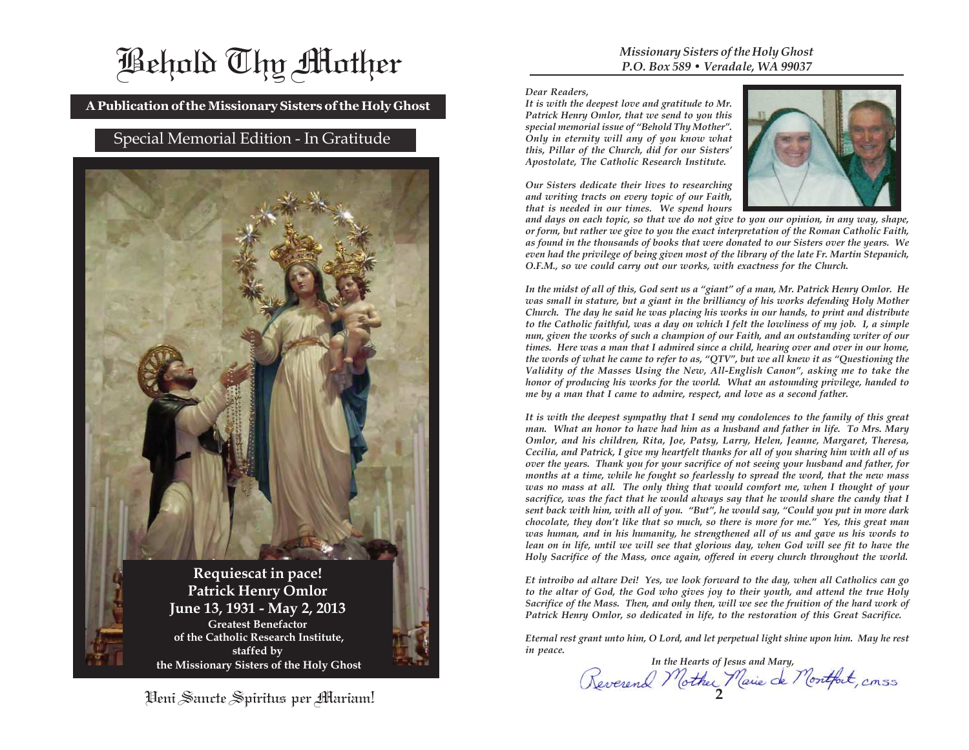# Behold Thy Mother

**A Publication of the Missionary Sisters of the Holy Ghost**

## Special Memorial Edition - In Gratitude



Veni Sancte Spiritus per Mariam!

#### *Missionary Sisters of the Holy Ghost P.O. Box 589 • Veradale, WA 99037*

*Dear Readers,*

*It is with the deepest love and gratitude to Mr. Patrick Henry Omlor, that we send to you this special memorial issue of "Behold Thy Mother". Only in eternity will any of you know what this, Pillar of the Church, did for our Sisters' Apostolate, The Catholic Research Institute.*

*Our Sisters dedicate their lives to researching and writing tracts on every topic of our Faith, that is needed in our times. We spend hours*



*and days on each topic, so that we do not give to you our opinion, in any way, shape, or form, but rather we give to you the exact interpretation of the Roman Catholic Faith, as found in the thousands of books that were donated to our Sisters over the years. We even had the privilege of being given most of the library of the late Fr. Martin Stepanich, O.F.M., so we could carry out our works, with exactness for the Church.*

*In the midst of all of this, God sent us a "giant" of a man, Mr. Patrick Henry Omlor. He was small in stature, but a giant in the brilliancy of his works defending Holy Mother Church. The day he said he was placing his works in our hands, to print and distribute to the Catholic faithful, was a day on which I felt the lowliness of my job. I, a simple nun, given the works of such a champion of our Faith, and an outstanding writer of our times. Here was a man that I admired since a child, hearing over and over in our home, the words of what he came to refer to as, "QTV", but we all knew it as "Questioning the Validity of the Masses Using the New, All-English Canon", asking me to take the honor of producing his works for the world. What an astounding privilege, handed to me by a man that I came to admire, respect, and love as a second father.*

*It is with the deepest sympathy that I send my condolences to the family of this great man. What an honor to have had him as a husband and father in life. To Mrs. Mary Omlor, and his children, Rita, Joe, Patsy, Larry, Helen, Jeanne, Margaret, Theresa, Cecilia, and Patrick, I give my heartfelt thanks for all of you sharing him with all of us over the years. Thank you for your sacrifice of not seeing your husband and father, for months at a time, while he fought so fearlessly to spread the word, that the new mass was no mass at all. The only thing that would comfort me, when I thought of your sacrifice, was the fact that he would always say that he would share the candy that I sent back with him, with all of you. "But", he would say, "Could you put in more dark chocolate, they don't like that so much, so there is more for me." Yes, this great man was human, and in his humanity, he strengthened all of us and gave us his words to lean on in life, until we will see that glorious day, when God will see fit to have the Holy Sacrifice of the Mass, once again, offered in every church throughout the world.*

*Et introibo ad altare Dei! Yes, we look forward to the day, when all Catholics can go to the altar of God, the God who gives joy to their youth, and attend the true Holy Sacrifice of the Mass. Then, and only then, will we see the fruition of the hard work of Patrick Henry Omlor, so dedicated in life, to the restoration of this Great Sacrifice.*

*Eternal rest grant unto him, O Lord, and let perpetual light shine upon him. May he rest in peace.*

**2**  *In the Hearts of Jesus and Mary,*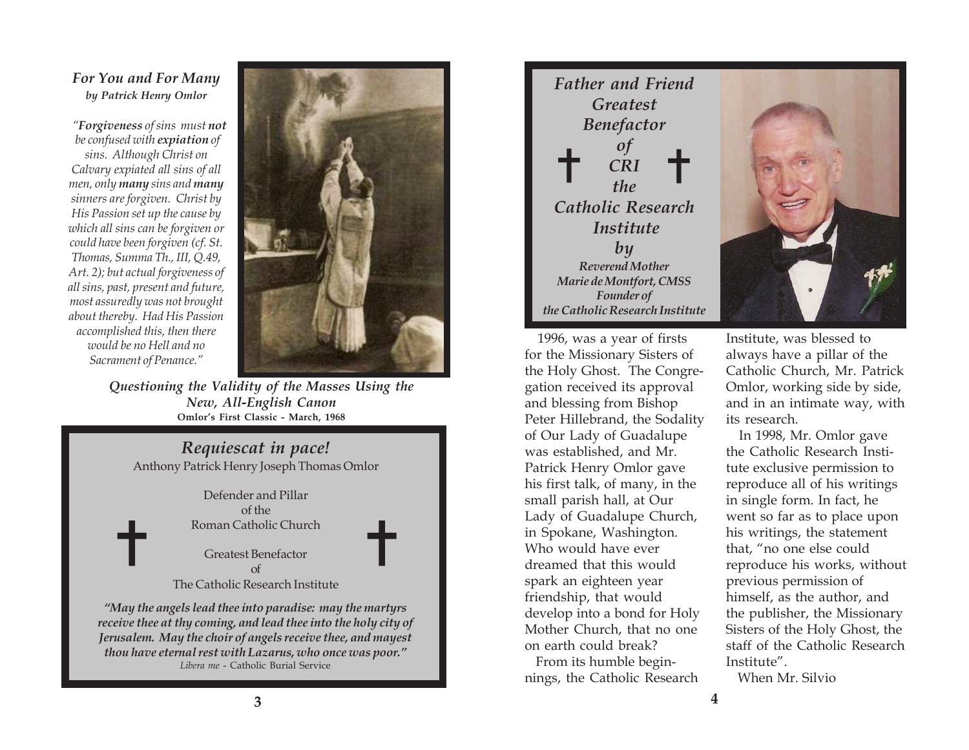### *For You and For Many by Patrick Henry Omlor*

*"Forgiveness of sins must not be confused with expiation of sins. Although Christ on Calvary expiated all sins of all men, only many sins and many sinners are forgiven. Christ by His Passion set up the cause by which all sins can be forgiven or could have been forgiven (cf. St. Thomas, Summa Th., III, Q.49, Art. 2); but actual forgiveness of all sins, past, present and future, most assuredly was not brought about thereby. Had His Passion accomplished this, then there would be no Hell and no Sacrament of Penance."*

✝



✝

*Questioning the Validity of the Masses Using the New, All-English Canon* **Omlor's First Classic - March, 1968**

# *Requiescat in pace!*

Anthony Patrick Henry Joseph Thomas Omlor

Defender and Pillar of the Roman Catholic Church

Greatest Benefactor of The Catholic Research Institute

*"May the angels lead thee into paradise: may the martyrs receive thee at thy coming, and lead thee into the holy city of Jerusalem. May the choir of angels receive thee, and mayest thou have eternal rest with Lazarus, who once was poor." Libera me* - Catholic Burial Service



 1996, was a year of firsts for the Missionary Sisters of the Holy Ghost. The Congregation received its approval and blessing from Bishop Peter Hillebrand, the Sodality of Our Lady of Guadalupe was established, and Mr. Patrick Henry Omlor gave his first talk, of many, in the small parish hall, at Our Lady of Guadalupe Church, in Spokane, Washington. Who would have ever dreamed that this would spark an eighteen year friendship, that would develop into a bond for Holy Mother Church, that no one on earth could break?

 From its humble beginnings, the Catholic Research



Institute, was blessed to always have a pillar of the Catholic Church, Mr. Patrick Omlor, working side by side, and in an intimate way, with its research.

 In 1998, Mr. Omlor gave the Catholic Research Institute exclusive permission to reproduce all of his writings in single form. In fact, he went so far as to place upon his writings, the statement that, "no one else could reproduce his works, without previous permission of himself, as the author, and the publisher, the Missionary Sisters of the Holy Ghost, the staff of the Catholic Research Institute".

When Mr. Silvio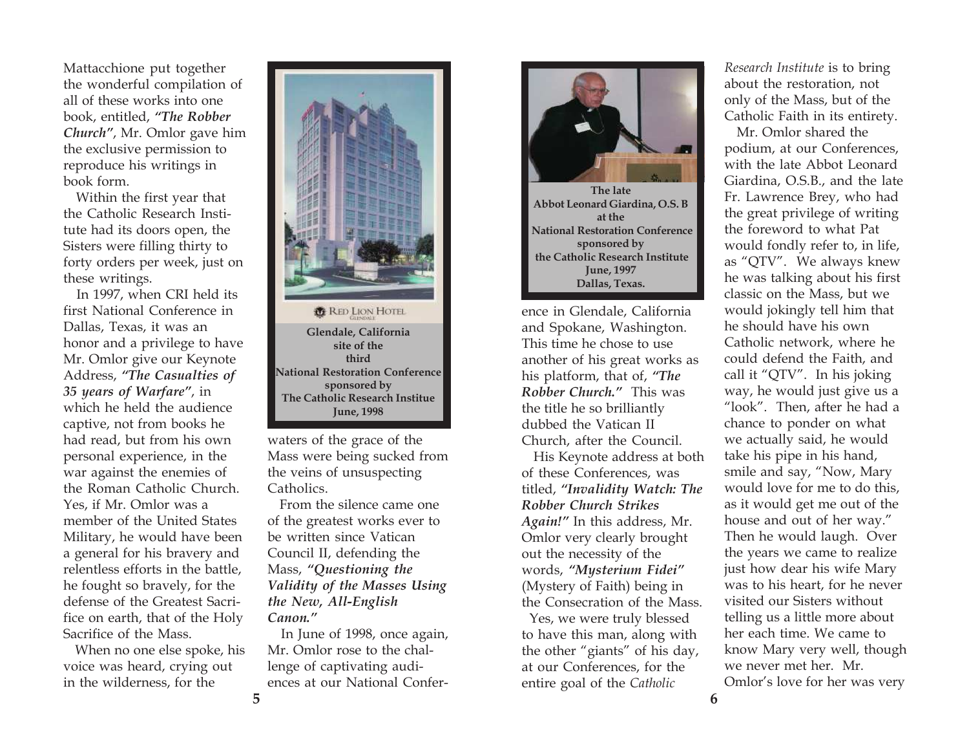Mattacchione put together the wonderful compilation of all of these works into one book, entitled, *"The Robber Church"*, Mr. Omlor gave him the exclusive permission to reproduce his writings in book form.

 Within the first year that the Catholic Research Institute had its doors open, the Sisters were filling thirty to forty orders per week, just on these writings.

 In 1997, when CRI held its first National Conference in Dallas, Texas, it was an honor and a privilege to have Mr. Omlor give our Keynote Address, *"The Casualties of 35 years of Warfare"*, in which he held the audience captive, not from books he had read, but from his own personal experience, in the war against the enemies of the Roman Catholic Church. Yes, if Mr. Omlor was a member of the United States Military, he would have been a general for his bravery and relentless efforts in the battle, he fought so bravely, for the defense of the Greatest Sacrifice on earth, that of the Holy Sacrifice of the Mass.

 When no one else spoke, his voice was heard, crying out in the wilderness, for the



**RED LION HOTEL Glendale, California site of the third National Restoration Conference sponsored by The Catholic Research Institue June, 1998**

waters of the grace of the Mass were being sucked from the veins of unsuspecting Catholics.

 From the silence came one of the greatest works ever to be written since Vatican Council II, defending the Mass, *"Questioning the Validity of the Masses Using the New, All-English Canon."*

 In June of 1998, once again, Mr. Omlor rose to the challenge of captivating audiences at our National Confer-



ence in Glendale, California and Spokane, Washington. This time he chose to use another of his great works as his platform, that of, *"The Robber Church."* This was the title he so brilliantly dubbed the Vatican II Church, after the Council.

 His Keynote address at both of these Conferences, was titled, *"Invalidity Watch: The Robber Church Strikes Again!"* In this address, Mr. Omlor very clearly brought out the necessity of the words, *"Mysterium Fidei"* (Mystery of Faith) being in the Consecration of the Mass.

 Yes, we were truly blessed to have this man, along with the other "giants" of his day, at our Conferences, for the entire goal of the *Catholic*

*Research Institute* is to bring about the restoration, not only of the Mass, but of the Catholic Faith in its entirety.

 Mr. Omlor shared the podium, at our Conferences, with the late Abbot Leonard Giardina, O.S.B., and the late Fr. Lawrence Brey, who had the great privilege of writing the foreword to what Pat would fondly refer to, in life, as "QTV". We always knew he was talking about his first classic on the Mass, but we would jokingly tell him that he should have his own Catholic network, where he could defend the Faith, and call it "QTV". In his joking way, he would just give us a "look". Then, after he had a chance to ponder on what we actually said, he would take his pipe in his hand, smile and say, "Now, Mary would love for me to do this, as it would get me out of the house and out of her way." Then he would laugh. Over the years we came to realize just how dear his wife Mary was to his heart, for he never visited our Sisters without telling us a little more about her each time. We came to know Mary very well, though we never met her. Mr. Omlor's love for her was very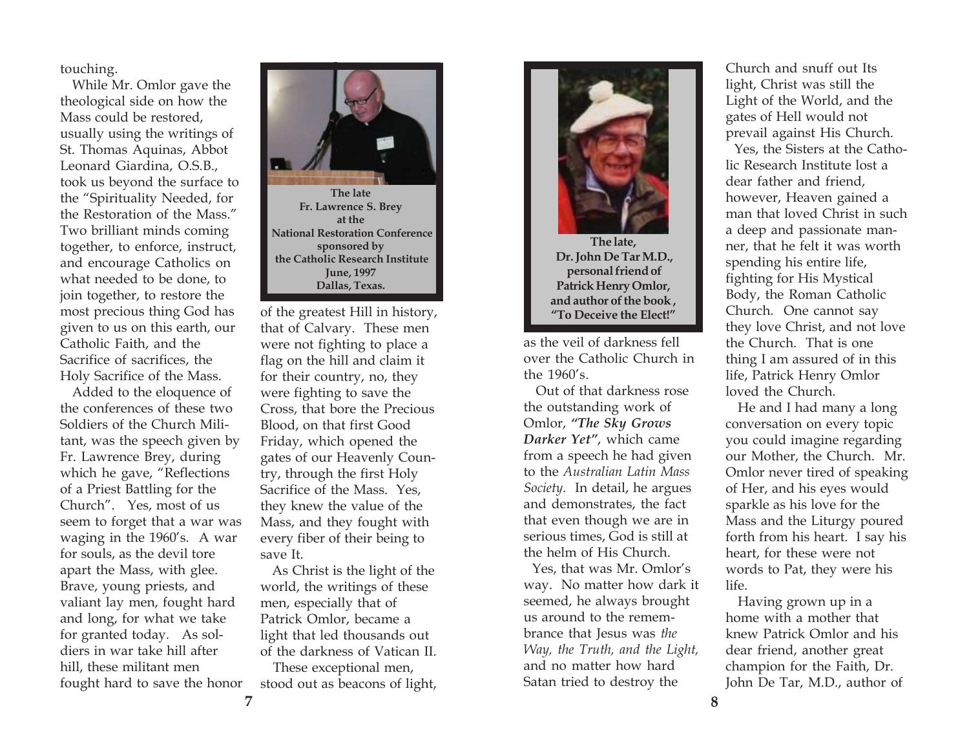touching.

 While Mr. Omlor gave the theological side on how the Mass could be restored, usually using the writings of St. Thomas Aquinas, Abbot Leonard Giardina, O.S.B., took us beyond the surface to the "Spirituality Needed, for the Restoration of the Mass." Two brilliant minds coming together, to enforce, instruct, and encourage Catholics on what needed to be done, to join together, to restore the most precious thing God has given to us on this earth, our Catholic Faith, and the Sacrifice of sacrifices, the Holy Sacrifice of the Mass.

 Added to the eloquence of the conferences of these two Soldiers of the Church Militant, was the speech given by Fr. Lawrence Brey, during which he gave, "Reflections of a Priest Battling for the Church". Yes, most of us seem to forget that a war was waging in the 1960's. A war for souls, as the devil tore apart the Mass, with glee. Brave, young priests, and valiant lay men, fought hard and long, for what we take for granted today. As soldiers in war take hill after hill, these militant men



of the greatest Hill in history, that of Calvary. These men were not fighting to place a flag on the hill and claim it for their country, no, they were fighting to save the Cross, that bore the Precious Blood, on that first Good Friday, which opened the gates of our Heavenly Country, through the first Holy Sacrifice of the Mass. Yes, they knew the value of the Mass, and they fought with every fiber of their being to save It.

 As Christ is the light of the world, the writings of these men, especially that of Patrick Omlor, became a light that led thousands out of the darkness of Vatican II.

fought hard to save the honor stood out as beacons of light, These exceptional men,



**The late, Dr. John De Tar M.D., personal friend of Patrick Henry Omlor, and author of the book , "To Deceive the Elect!"**

as the veil of darkness fell over the Catholic Church in the 1960's.

 Out of that darkness rose the outstanding work of Omlor, *"The Sky Grows Darker Yet"*, which came from a speech he had given to the *Australian Latin Mass Society.* In detail, he argues and demonstrates, the fact that even though we are in serious times, God is still at the helm of His Church.

 Yes, that was Mr. Omlor's way. No matter how dark it seemed, he always brought us around to the remembrance that Jesus was *the Way, the Truth, and the Light,* and no matter how hard Satan tried to destroy the

Church and snuff out Its light, Christ was still the Light of the World, and the gates of Hell would not prevail against His Church.

 Yes, the Sisters at the Catholic Research Institute lost a dear father and friend, however, Heaven gained a man that loved Christ in such a deep and passionate manner, that he felt it was worth spending his entire life, fighting for His Mystical Body, the Roman Catholic Church. One cannot say they love Christ, and not love the Church. That is one thing I am assured of in this life, Patrick Henry Omlor loved the Church.

 He and I had many a long conversation on every topic you could imagine regarding our Mother, the Church. Mr. Omlor never tired of speaking of Her, and his eyes would sparkle as his love for the Mass and the Liturgy poured forth from his heart. I say his heart, for these were not words to Pat, they were his life.

 Having grown up in a home with a mother that knew Patrick Omlor and his dear friend, another great champion for the Faith, Dr. John De Tar, M.D., author of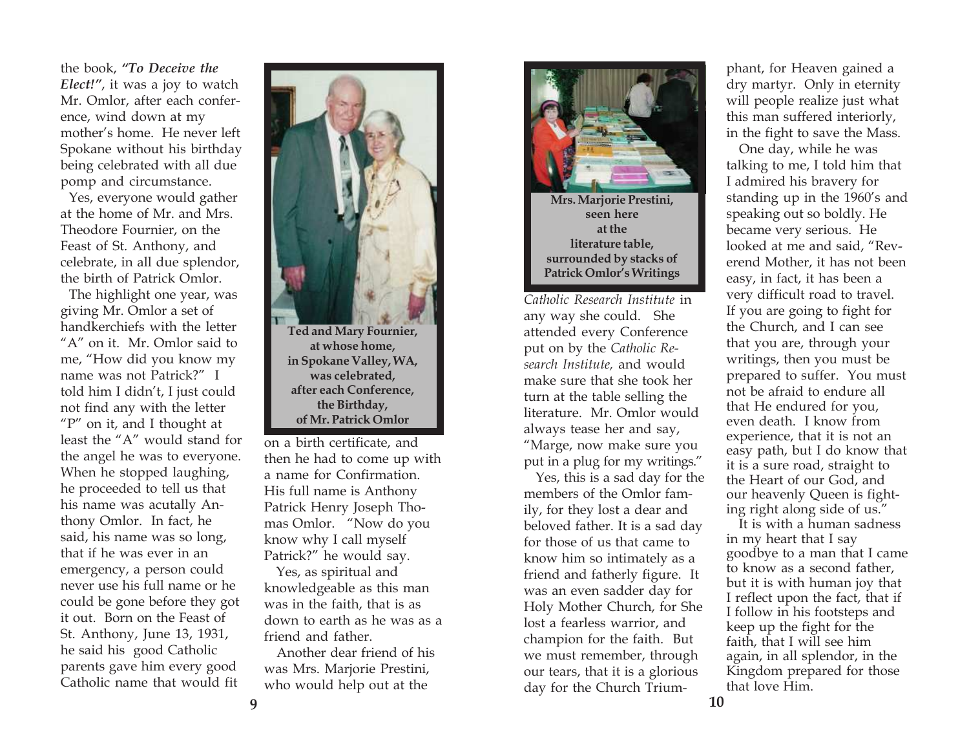the book, *"To Deceive the Elect!"*, it was a joy to watch Mr. Omlor, after each conference, wind down at my mother's home. He never left Spokane without his birthday being celebrated with all due pomp and circumstance.

 Yes, everyone would gather at the home of Mr. and Mrs. Theodore Fournier, on the Feast of St. Anthony, and celebrate, in all due splendor, the birth of Patrick Omlor.

 The highlight one year, was giving Mr. Omlor a set of handkerchiefs with the letter "A" on it. Mr. Omlor said to me, "How did you know my name was not Patrick?" I told him I didn't, I just could not find any with the letter "P" on it, and I thought at least the "A" would stand for the angel he was to everyone. When he stopped laughing, he proceeded to tell us that his name was acutally Anthony Omlor. In fact, he said, his name was so long, that if he was ever in an emergency, a person could never use his full name or he could be gone before they got it out. Born on the Feast of St. Anthony, June 13, 1931, he said his good Catholic parents gave him every good Catholic name that would fit



then he had to come up with a name for Confirmation. His full name is Anthony Patrick Henry Joseph Thomas Omlor. "Now do you know why I call myself Patrick?" he would say.

 Yes, as spiritual and knowledgeable as this man was in the faith, that is as down to earth as he was as a friend and father.

 Another dear friend of his was Mrs. Marjorie Prestini, who would help out at the



**Mrs. Marjorie Prestini, seen here at the literature table, surrounded by stacks of Patrick Omlor's Writings**

*Catholic Research Institute* in any way she could. She attended every Conference put on by the *Catholic Research Institute,* and would make sure that she took her turn at the table selling the literature. Mr. Omlor would always tease her and say, "Marge, now make sure you put in a plug for my writings."

 Yes, this is a sad day for the members of the Omlor family, for they lost a dear and beloved father. It is a sad day for those of us that came to know him so intimately as a friend and fatherly figure. It was an even sadder day for Holy Mother Church, for She lost a fearless warrior, and champion for the faith. But we must remember, through our tears, that it is a glorious day for the Church Trium-

phant, for Heaven gained a dry martyr. Only in eternity will people realize just what this man suffered interiorly, in the fight to save the Mass.

 One day, while he was talking to me, I told him that I admired his bravery for standing up in the 1960's and speaking out so boldly. He became very serious. He looked at me and said, "Reverend Mother, it has not been easy, in fact, it has been a very difficult road to travel. If you are going to fight for the Church, and I can see that you are, through your writings, then you must be prepared to suffer. You must not be afraid to endure all that He endured for you, even death. I know from experience, that it is not an easy path, but I do know that it is a sure road, straight to the Heart of our God, and our heavenly Queen is fighting right along side of us."

 It is with a human sadness in my heart that I say goodbye to a man that I came to know as a second father, but it is with human joy that I reflect upon the fact, that if I follow in his footsteps and keep up the fight for the faith, that I will see him again, in all splendor, in the Kingdom prepared for those that love Him.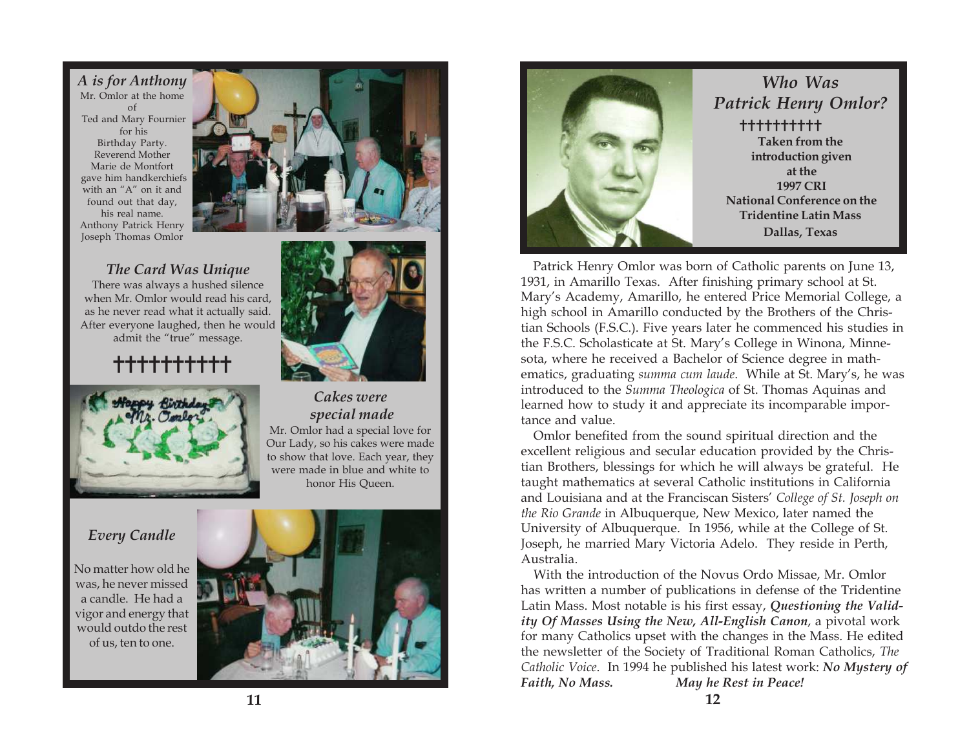*A is for Anthony* Mr. Omlor at the home of Ted and Mary Fournier for his Birthday Party. Reverend Mother Marie de Montfort gave him handkerchiefs with an "A" on it and found out that day, his real name. Anthony Patrick Henry Joseph Thomas Omlor

### *The Card Was Unique*

There was always a hushed silence when Mr. Omlor would read his card, as he never read what it actually said. After everyone laughed, then he would admit the "true" message.

# ✝✝✝✝✝✝✝✝✝✝



# *Cakes were special made*

Mr. Omlor had a special love for Our Lady, so his cakes were made to show that love. Each year, they were made in blue and white to honor His Queen.

### *Every Candle*

No matter how old he was, he never missed a candle. He had a vigor and energy that would outdo the rest of us, ten to one.





### *Who Was Patrick Henry Omlor?* **Taken from the introduction given at the 1997 CRI National Conference on the Tridentine Latin Mass Dallas, Texas** ✝✝✝✝✝✝✝✝✝✝

 Patrick Henry Omlor was born of Catholic parents on June 13, 1931, in Amarillo Texas. After finishing primary school at St. Mary's Academy, Amarillo, he entered Price Memorial College, a high school in Amarillo conducted by the Brothers of the Christian Schools (F.S.C.). Five years later he commenced his studies in the F.S.C. Scholasticate at St. Mary's College in Winona, Minnesota, where he received a Bachelor of Science degree in mathematics, graduating *summa cum laude*. While at St. Mary's, he was introduced to the *Summa Theologica* of St. Thomas Aquinas and learned how to study it and appreciate its incomparable importance and value.

 Omlor benefited from the sound spiritual direction and the excellent religious and secular education provided by the Christian Brothers, blessings for which he will always be grateful. He taught mathematics at several Catholic institutions in California and Louisiana and at the Franciscan Sisters' *College of St. Joseph on the Rio Grande* in Albuquerque, New Mexico, later named the University of Albuquerque. In 1956, while at the College of St. Joseph, he married Mary Victoria Adelo. They reside in Perth, Australia.

 With the introduction of the Novus Ordo Missae, Mr. Omlor has written a number of publications in defense of the Tridentine Latin Mass. Most notable is his first essay, *Questioning the Validity Of Masses Using the New, All-English Canon*, a pivotal work for many Catholics upset with the changes in the Mass. He edited the newsletter of the Society of Traditional Roman Catholics, *The Catholic Voice*. In 1994 he published his latest work: *No Mystery of Faith, No Mass. May he Rest in Peace!*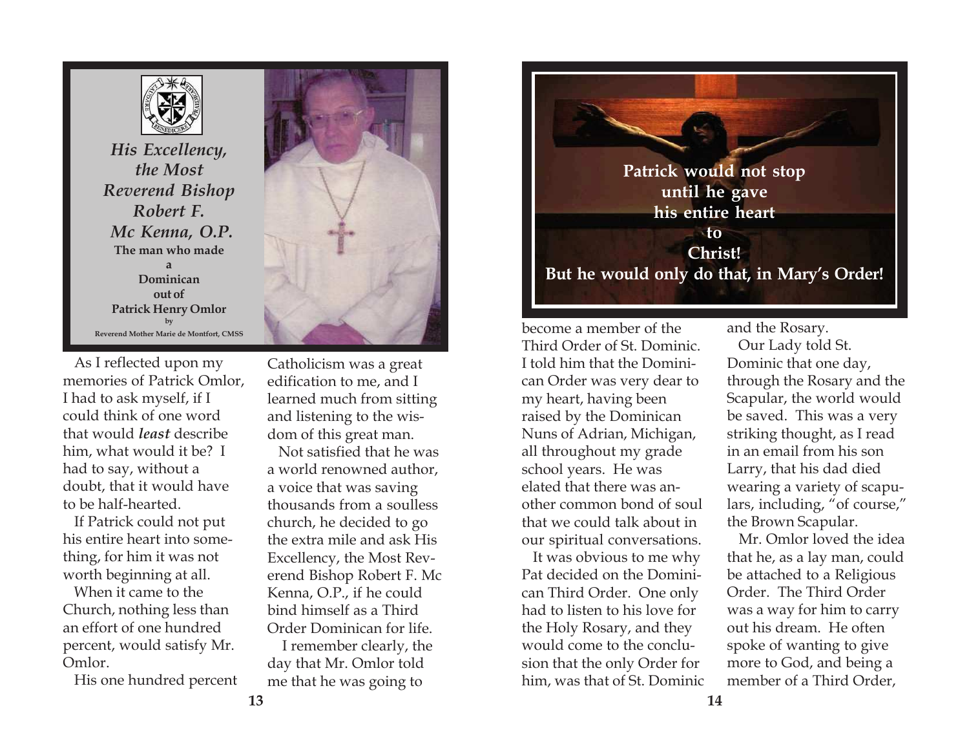

*His Excellency, the Most Reverend Bishop Robert F. Mc Kenna, O.P.* **The man who made a Dominican out of Patrick Henry Omlor by Reverend Mother Marie de Montfort, CMSS**

 As I reflected upon my memories of Patrick Omlor, I had to ask myself, if I could think of one word that would *least* describe him, what would it be? I had to say, without a doubt, that it would have to be half-hearted.

 If Patrick could not put his entire heart into something, for him it was not worth beginning at all.

 When it came to the Church, nothing less than an effort of one hundred percent, would satisfy Mr. Omlor.

His one hundred percent



Catholicism was a great edification to me, and I learned much from sitting and listening to the wisdom of this great man.

 Not satisfied that he was a world renowned author, a voice that was saving thousands from a soulless church, he decided to go the extra mile and ask His Excellency, the Most Reverend Bishop Robert F. Mc Kenna, O.P., if he could bind himself as a Third Order Dominican for life.

 I remember clearly, the day that Mr. Omlor told me that he was going to



become a member of the Third Order of St. Dominic. I told him that the Dominican Order was very dear to my heart, having been raised by the Dominican Nuns of Adrian, Michigan, all throughout my grade school years. He was elated that there was another common bond of soul that we could talk about in our spiritual conversations.

 It was obvious to me why Pat decided on the Dominican Third Order. One only had to listen to his love for the Holy Rosary, and they would come to the conclusion that the only Order for him, was that of St. Dominic and the Rosary.

 Our Lady told St. Dominic that one day, through the Rosary and the Scapular, the world would be saved. This was a very striking thought, as I read in an email from his son Larry, that his dad died wearing a variety of scapulars, including, "of course," the Brown Scapular.

 Mr. Omlor loved the idea that he, as a lay man, could be attached to a Religious Order. The Third Order was a way for him to carry out his dream. He often spoke of wanting to give more to God, and being a member of a Third Order,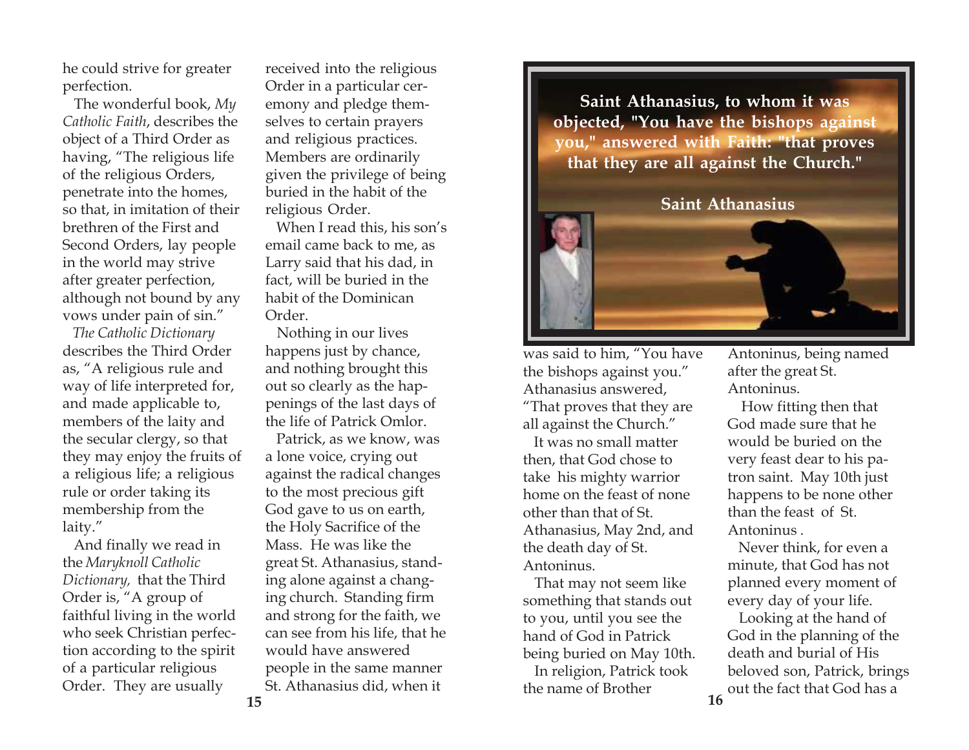he could strive for greater perfection.

 The wonderful book, *My Catholic Faith*, describes the object of a Third Order as having, "The religious life of the religious Orders, penetrate into the homes, so that, in imitation of their brethren of the First and Second Orders, lay people in the world may strive after greater perfection, although not bound by any vows under pain of sin."

*The Catholic Dictionary* describes the Third Order as, "A religious rule and way of life interpreted for, and made applicable to, members of the laity and the secular clergy, so that they may enjoy the fruits of a religious life; a religious rule or order taking its membership from the laity."

 And finally we read in the *Maryknoll Catholic Dictionary,* that the Third Order is, "A group of faithful living in the world who seek Christian perfection according to the spirit of a particular religious Order. They are usually

received into the religious Order in a particular ceremony and pledge themselves to certain prayers and religious practices. Members are ordinarily given the privilege of being buried in the habit of the religious Order.

 When I read this, his son's email came back to me, as Larry said that his dad, in fact, will be buried in the habit of the Dominican Order.

 Nothing in our lives happens just by chance, and nothing brought this out so clearly as the happenings of the last days of the life of Patrick Omlor.

 Patrick, as we know, was a lone voice, crying out against the radical changes to the most precious gift God gave to us on earth, the Holy Sacrifice of the Mass. He was like the great St. Athanasius, standing alone against a changing church. Standing firm and strong for the faith, we can see from his life, that he would have answered people in the same manner St. Athanasius did, when it

**Saint Athanasius, to whom it was objected, "You have the bishops against you," answered with Faith: "that proves that they are all against the Church."**

 **Saint Athanasius**

was said to him, "You have the bishops against you." Athanasius answered, "That proves that they are all against the Church."

 It was no small matter then, that God chose to take his mighty warrior home on the feast of none other than that of St. Athanasius, May 2nd, and the death day of St. Antoninus.

 That may not seem like something that stands out to you, until you see the hand of God in Patrick being buried on May 10th. In religion, Patrick took the name of Brother

Antoninus, being named after the great St. Antoninus.

 How fitting then that God made sure that he would be buried on the very feast dear to his patron saint. May 10th just happens to be none other than the feast of St. Antoninus .

 Never think, for even a minute, that God has not planned every moment of every day of your life.

**16** Looking at the hand of God in the planning of the death and burial of His beloved son, Patrick, brings out the fact that God has a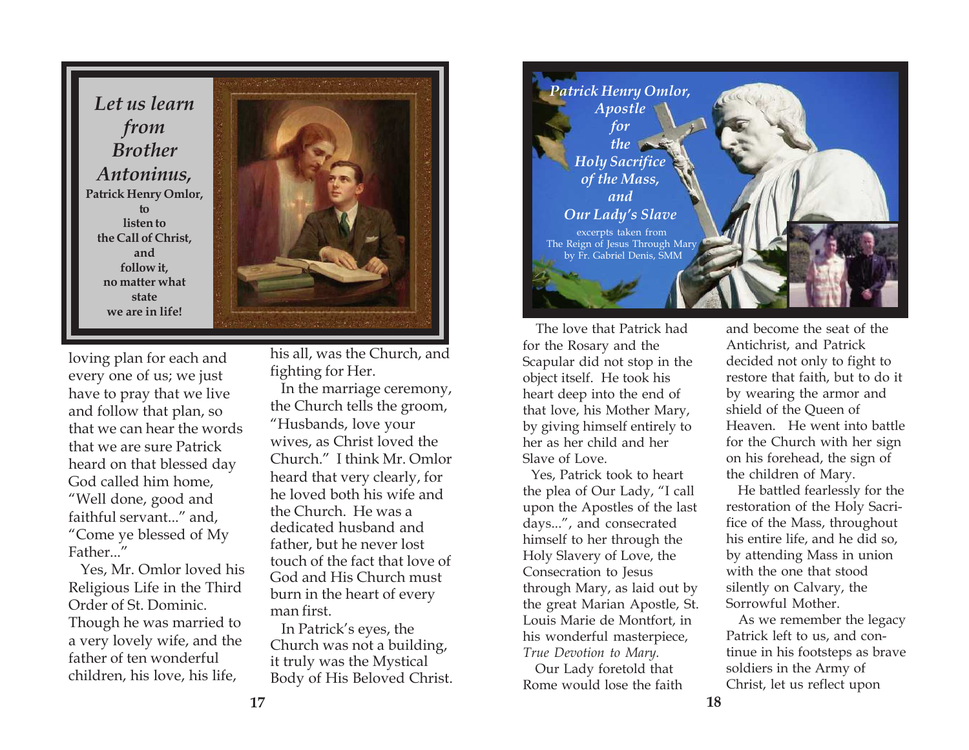*Let us learn from Brother Antoninus,* **Patrick Henry Omlor, to listen to the Call of Christ, and follow it, no matter what state we are in life!**



loving plan for each and every one of us; we just have to pray that we live and follow that plan, so that we can hear the words that we are sure Patrick heard on that blessed day God called him home, "Well done, good and faithful servant..." and, "Come ye blessed of My Father..."

 Yes, Mr. Omlor loved his Religious Life in the Third Order of St. Dominic. Though he was married to a very lovely wife, and the father of ten wonderful children, his love, his life,

his all, was the Church, and fighting for Her.

 In the marriage ceremony, the Church tells the groom, "Husbands, love your wives, as Christ loved the Church." I think Mr. Omlor heard that very clearly, for he loved both his wife and the Church. He was a dedicated husband and father, but he never lost touch of the fact that love of God and His Church must burn in the heart of every man first.

In Patrick's eyes, the Church was not a building, it truly was the Mystical Body of His Beloved Christ.



 The love that Patrick had for the Rosary and the Scapular did not stop in the object itself. He took his heart deep into the end of that love, his Mother Mary, by giving himself entirely to her as her child and her Slave of Love.

 Yes, Patrick took to heart the plea of Our Lady, "I call upon the Apostles of the last days...", and consecrated himself to her through the Holy Slavery of Love, the Consecration to Jesus through Mary, as laid out by the great Marian Apostle, St. Louis Marie de Montfort, in his wonderful masterpiece, *True Devotion to Mary.*

 Our Lady foretold that Rome would lose the faith

and become the seat of the Antichrist, and Patrick decided not only to fight to restore that faith, but to do it by wearing the armor and shield of the Queen of Heaven. He went into battle for the Church with her sign on his forehead, the sign of the children of Mary.

 He battled fearlessly for the restoration of the Holy Sacrifice of the Mass, throughout his entire life, and he did so, by attending Mass in union with the one that stood silently on Calvary, the Sorrowful Mother.

 As we remember the legacy Patrick left to us, and continue in his footsteps as brave soldiers in the Army of Christ, let us reflect upon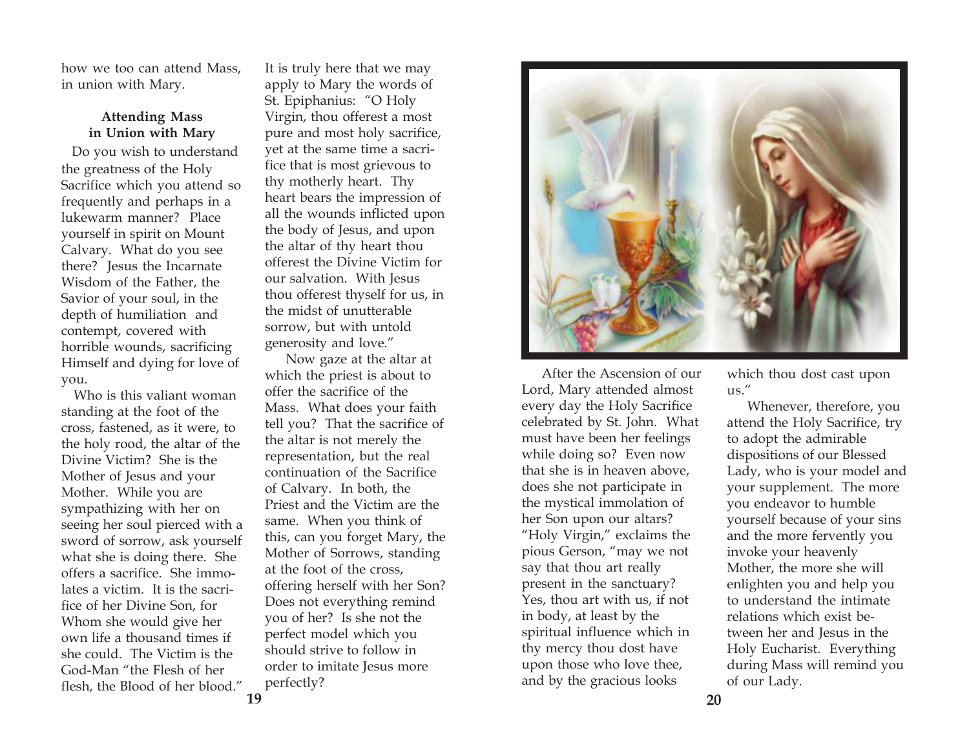how we too can attend Mass, in union with Mary.

### **Attending Mass in Union with Mary**

Do you wish to understand the greatness of the Holy Sacrifice which you attend so frequently and perhaps in a lukewarm manner? Place yourself in spirit on Mount Calvary. What do you see there? Jesus the Incarnate Wisdom of the Father, the Savior of your soul, in the depth of humiliation and contempt, covered with horrible wounds, sacrificing Himself and dying for love of you.

 Who is this valiant woman standing at the foot of the cross, fastened, as it were, to the holy rood, the altar of the Divine Victim? She is the Mother of Jesus and your Mother. While you are sympathizing with her on seeing her soul pierced with a sword of sorrow, ask yourself what she is doing there. She offers a sacrifice. She immolates a victim. It is the sacrifice of her Divine Son, for Whom she would give her own life a thousand times if she could. The Victim is the God-Man "the Flesh of her flesh, the Blood of her blood."

It is truly here that we may apply to Mary the words of St. Epiphanius: "O Holy Virgin, thou offerest a most pure and most holy sacrifice, yet at the same time a sacrifice that is most grievous to thy motherly heart. Thy heart bears the impression of all the wounds inflicted upon the body of Jesus, and upon the altar of thy heart thou offerest the Divine Victim for our salvation. With Jesus thou offerest thyself for us, in the midst of unutterable sorrow, but with untold generosity and love."

 Now gaze at the altar at which the priest is about to offer the sacrifice of the Mass. What does your faith tell you? That the sacrifice of the altar is not merely the representation, but the real continuation of the Sacrifice of Calvary. In both, the Priest and the Victim are the same. When you think of this, can you forget Mary, the Mother of Sorrows, standing at the foot of the cross, offering herself with her Son? Does not everything remind you of her? Is she not the perfect model which you should strive to follow in order to imitate Jesus more perfectly?



 After the Ascension of our Lord, Mary attended almost every day the Holy Sacrifice celebrated by St. John. What must have been her feelings while doing so? Even now that she is in heaven above, does she not participate in the mystical immolation of her Son upon our altars? "Holy Virgin," exclaims the pious Gerson, "may we not say that thou art really present in the sanctuary? Yes, thou art with us, if not in body, at least by the spiritual influence which in thy mercy thou dost have upon those who love thee, and by the gracious looks

which thou dost cast upon us."

 Whenever, therefore, you attend the Holy Sacrifice, try to adopt the admirable dispositions of our Blessed Lady, who is your model and your supplement. The more you endeavor to humble yourself because of your sins and the more fervently you invoke your heavenly Mother, the more she will enlighten you and help you to understand the intimate relations which exist between her and Jesus in the Holy Eucharist. Everything during Mass will remind you of our Lady.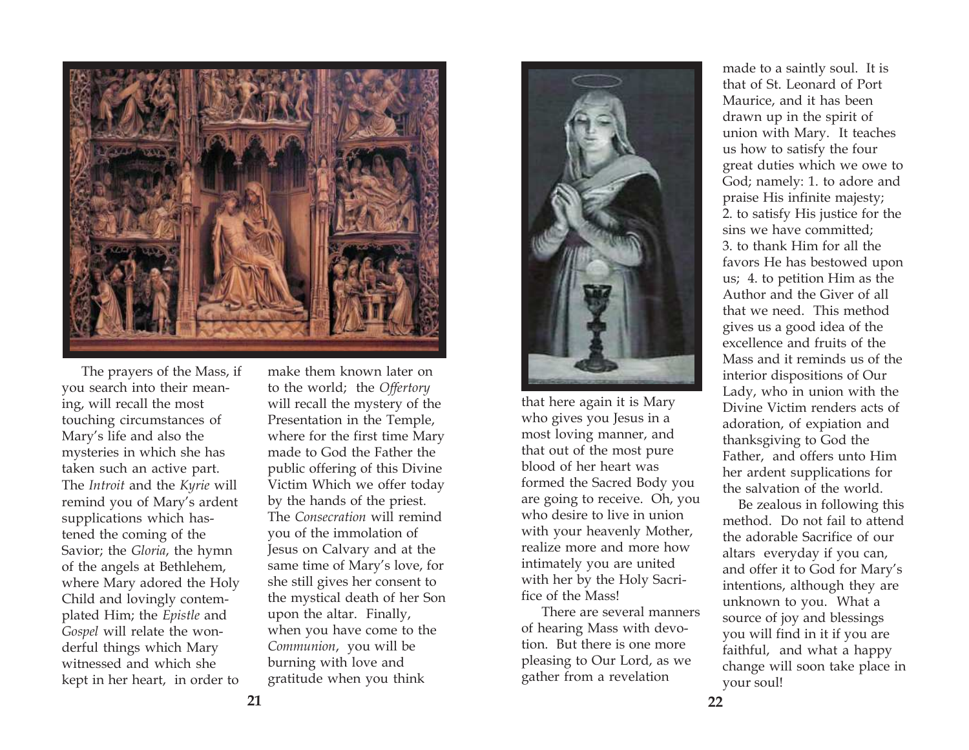

 The prayers of the Mass, if you search into their meaning, will recall the most touching circumstances of Mary's life and also the mysteries in which she has taken such an active part. The *Introit* and the *Kyrie* will remind you of Mary's ardent supplications which hastened the coming of the Savior; the *Gloria*, the hymn of the angels at Bethlehem, where Mary adored the Holy Child and lovingly contemplated Him; the *Epistle* and *Gospel* will relate the wonderful things which Mary witnessed and which she kept in her heart, in order to

make them known later on to the world; the *Offertory* will recall the mystery of the Presentation in the Temple, where for the first time Mary made to God the Father the public offering of this Divine Victim Which we offer today by the hands of the priest. The *Consecration* will remind you of the immolation of Jesus on Calvary and at the same time of Mary's love, for she still gives her consent to the mystical death of her Son upon the altar. Finally, when you have come to the *Communion*, you will be burning with love and gratitude when you think



that here again it is Mary who gives you Jesus in a most loving manner, and that out of the most pure blood of her heart was formed the Sacred Body you are going to receive. Oh, you who desire to live in union with your heavenly Mother, realize more and more how intimately you are united with her by the Holy Sacrifice of the Mass!

 There are several manners of hearing Mass with devotion. But there is one more pleasing to Our Lord, as we gather from a revelation

made to a saintly soul. It is that of St. Leonard of Port Maurice, and it has been drawn up in the spirit of union with Mary. It teaches us how to satisfy the four great duties which we owe to God; namely: 1. to adore and praise His infinite majesty; 2. to satisfy His justice for the sins we have committed; 3. to thank Him for all the favors He has bestowed upon us; 4. to petition Him as the Author and the Giver of all that we need. This method gives us a good idea of the excellence and fruits of the Mass and it reminds us of the interior dispositions of Our Lady, who in union with the Divine Victim renders acts of adoration, of expiation and thanksgiving to God the Father, and offers unto Him her ardent supplications for the salvation of the world.

 Be zealous in following this method. Do not fail to attend the adorable Sacrifice of our altars everyday if you can, and offer it to God for Mary's intentions, although they are unknown to you. What a source of joy and blessings you will find in it if you are faithful, and what a happy change will soon take place in your soul!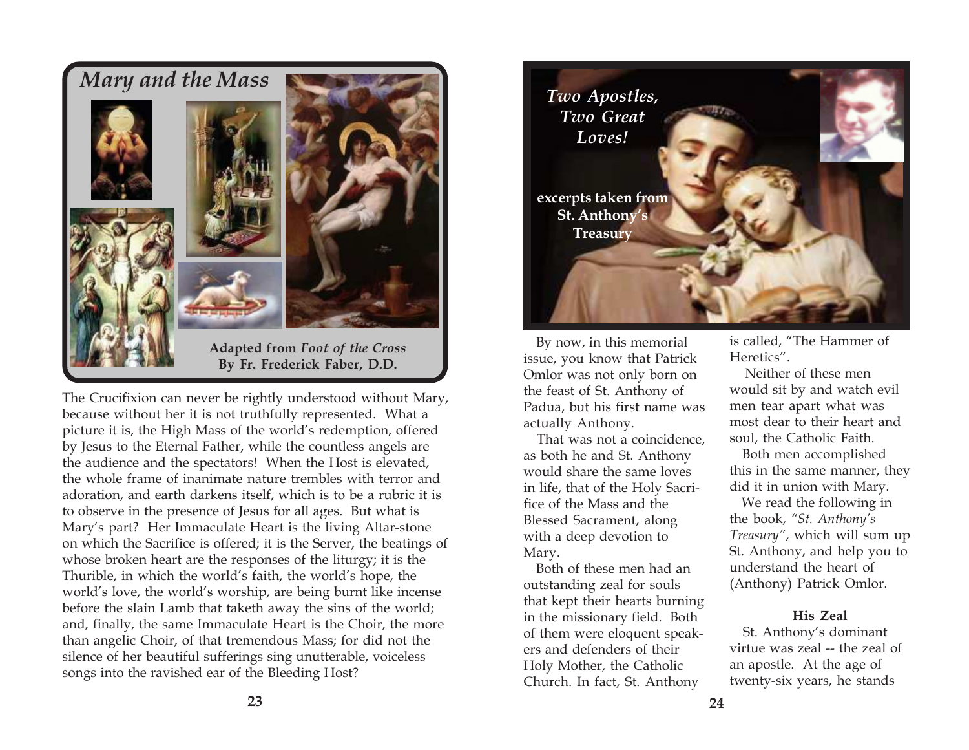

The Crucifixion can never be rightly understood without Mary, because without her it is not truthfully represented. What a picture it is, the High Mass of the world's redemption, offered by Jesus to the Eternal Father, while the countless angels are the audience and the spectators! When the Host is elevated, the whole frame of inanimate nature trembles with terror and adoration, and earth darkens itself, which is to be a rubric it is to observe in the presence of Jesus for all ages. But what is Mary's part? Her Immaculate Heart is the living Altar-stone on which the Sacrifice is offered; it is the Server, the beatings of whose broken heart are the responses of the liturgy; it is the Thurible, in which the world's faith, the world's hope, the world's love, the world's worship, are being burnt like incense before the slain Lamb that taketh away the sins of the world; and, finally, the same Immaculate Heart is the Choir, the more than angelic Choir, of that tremendous Mass; for did not the silence of her beautiful sufferings sing unutterable, voiceless songs into the ravished ear of the Bleeding Host?



By now, in this memorial issue, you know that Patrick Omlor was not only born on the feast of St. Anthony of Padua, but his first name was actually Anthony.

 That was not a coincidence, as both he and St. Anthony would share the same loves in life, that of the Holy Sacrifice of the Mass and the Blessed Sacrament, along with a deep devotion to Mary.

 Both of these men had an outstanding zeal for souls that kept their hearts burning in the missionary field. Both of them were eloquent speakers and defenders of their Holy Mother, the Catholic Church. In fact, St. Anthony

is called, "The Hammer of Heretics".

 Neither of these men would sit by and watch evil men tear apart what was most dear to their heart and soul, the Catholic Faith.

 Both men accomplished this in the same manner, they did it in union with Mary.

 We read the following in the book, *"St. Anthony's Treasury"*, which will sum up St. Anthony, and help you to understand the heart of (Anthony) Patrick Omlor.

#### **His Zeal**

 St. Anthony's dominant virtue was zeal -- the zeal of an apostle. At the age of twenty-six years, he stands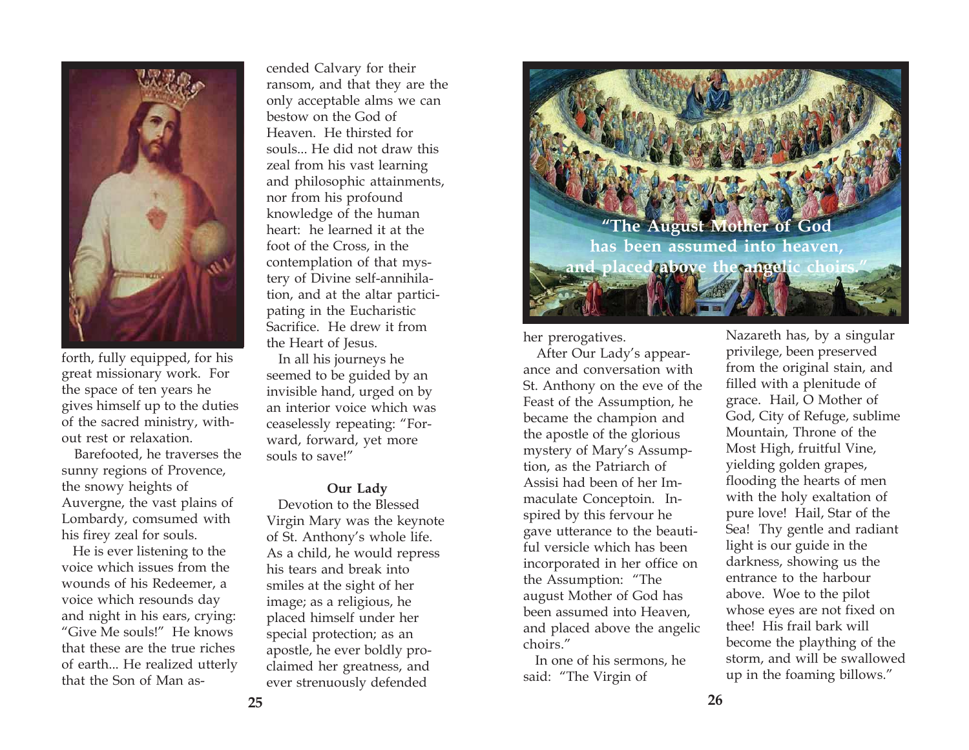

forth, fully equipped, for his great missionary work. For the space of ten years he gives himself up to the duties of the sacred ministry, without rest or relaxation.

 Barefooted, he traverses the sunny regions of Provence, the snowy heights of Auvergne, the vast plains of Lombardy, comsumed with his firey zeal for souls.

 He is ever listening to the voice which issues from the wounds of his Redeemer, a voice which resounds day and night in his ears, crying: "Give Me souls!" He knows that these are the true riches of earth... He realized utterly that the Son of Man ascended Calvary for their ransom, and that they are the only acceptable alms we can bestow on the God of Heaven. He thirsted for souls... He did not draw this zeal from his vast learning and philosophic attainments, nor from his profound knowledge of the human heart: he learned it at the foot of the Cross, in the contemplation of that mys tery of Divine self-annihila tion, and at the altar partici pating in the Eucharistic Sacrifice. He drew it from the Heart of Jesus. In all his journeys he

seemed to be guided by an invisible hand, urged on by an interior voice which was ceaselessly repeating: "For ward, forward, yet more souls to save!"

#### **Our Lady**

 Devotion to the Blessed Virgin Mary was the keynote of St. Anthony's whole life. As a child, he would repress his tears and break into smiles at the sight of her image; as a religious, he placed himself under her special protection; as an apostle, he ever boldly pro claimed her greatness, and ever strenuously defended



her prerogatives.

 After Our Lady's appearance and conversation with St. Anthony on the eve of the Feast of the Assumption, he became the champion and the apostle of the glorious mystery of Mary's Assumption, as the Patriarch of Assisi had been of her Immaculate Conceptoin. Inspired by this fervour he gave utterance to the beautiful versicle which has been incorporated in her office on the Assumption: "The august Mother of God has been assumed into Heaven, and placed above the angelic choirs."

 In one of his sermons, he said: "The Virgin of

Nazareth has, by a singular privilege, been preserved from the original stain, and filled with a plenitude of grace. Hail, O Mother of God, City of Refuge, sublime Mountain, Throne of the Most High, fruitful Vine, yielding golden grapes, flooding the hearts of men with the holy exaltation of pure love! Hail, Star of the Sea! Thy gentle and radiant light is our guide in the darkness, showing us the entrance to the harbour above. Woe to the pilot whose eyes are not fixed on thee! His frail bark will become the plaything of the storm, and will be swallowed up in the foaming billows."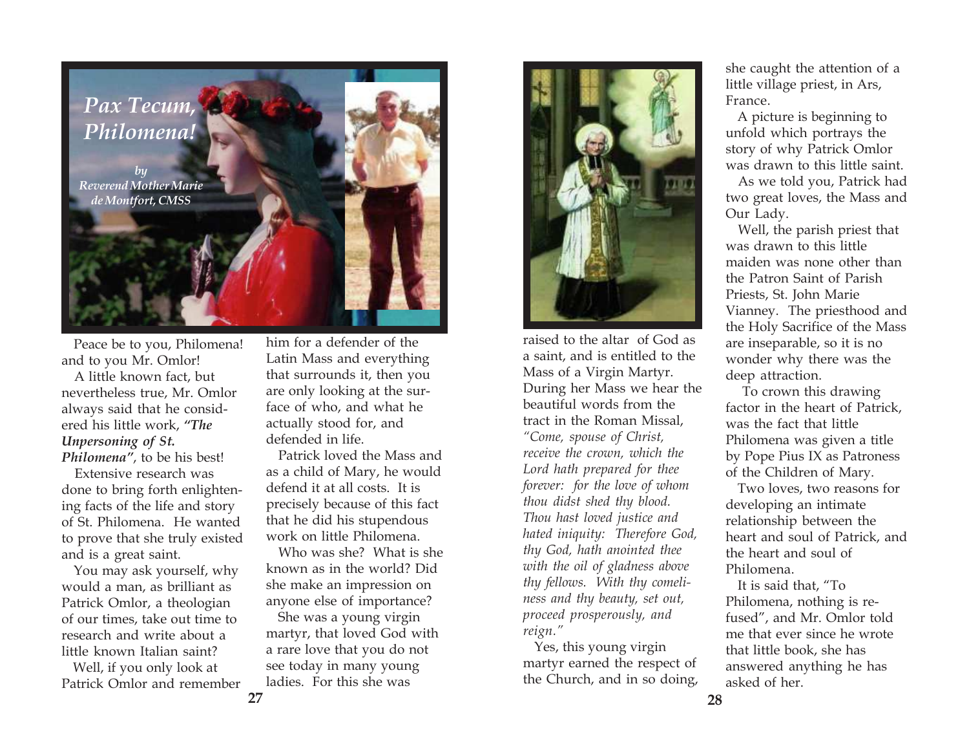

 Peace be to you, Philomena! and to you Mr. Omlor!

 A little known fact, but nevertheless true, Mr. Omlor always said that he considered his little work, *"The Unpersoning of St. Philomena"*, to be his best!

 Extensive research was done to bring forth enlightening facts of the life and story of St. Philomena. He wanted to prove that she truly existed and is a great saint.

 You may ask yourself, why would a man, as brilliant as Patrick Omlor, a theologian of our times, take out time to research and write about a little known Italian saint?

 Well, if you only look at Patrick Omlor and remember

him for a defender of the Latin Mass and everything that surrounds it, then you are only looking at the surface of who, and what he actually stood for, and defended in life.

 Patrick loved the Mass and as a child of Mary, he would defend it at all costs. It is precisely because of this fact that he did his stupendous work on little Philomena.

 Who was she? What is she known as in the world? Did she make an impression on anyone else of importance?

 She was a young virgin martyr, that loved God with a rare love that you do not see today in many young ladies. For this she was



raised to the altar of God as a saint, and is entitled to the Mass of a Virgin Martyr. During her Mass we hear the beautiful words from the tract in the Roman Missal, *"Come, spouse of Christ, receive the crown, which the Lord hath prepared for thee forever: for the love of whom thou didst shed thy blood. Thou hast loved justice and hated iniquity: Therefore God, thy God, hath anointed thee with the oil of gladness above thy fellows. With thy comeliness and thy beauty, set out, proceed prosperously, and reign."*

 Yes, this young virgin martyr earned the respect of the Church, and in so doing, she caught the attention of a little village priest, in Ars, France.

 A picture is beginning to unfold which portrays the story of why Patrick Omlor was drawn to this little saint.

 As we told you, Patrick had two great loves, the Mass and Our Lady.

 Well, the parish priest that was drawn to this little maiden was none other than the Patron Saint of Parish Priests, St. John Marie Vianney. The priesthood and the Holy Sacrifice of the Mass are inseparable, so it is no wonder why there was the deep attraction.

 To crown this drawing factor in the heart of Patrick, was the fact that little Philomena was given a title by Pope Pius IX as Patroness of the Children of Mary.

 Two loves, two reasons for developing an intimate relationship between the heart and soul of Patrick, and the heart and soul of Philomena.

 It is said that, "To Philomena, nothing is refused", and Mr. Omlor told me that ever since he wrote that little book, she has answered anything he has asked of her.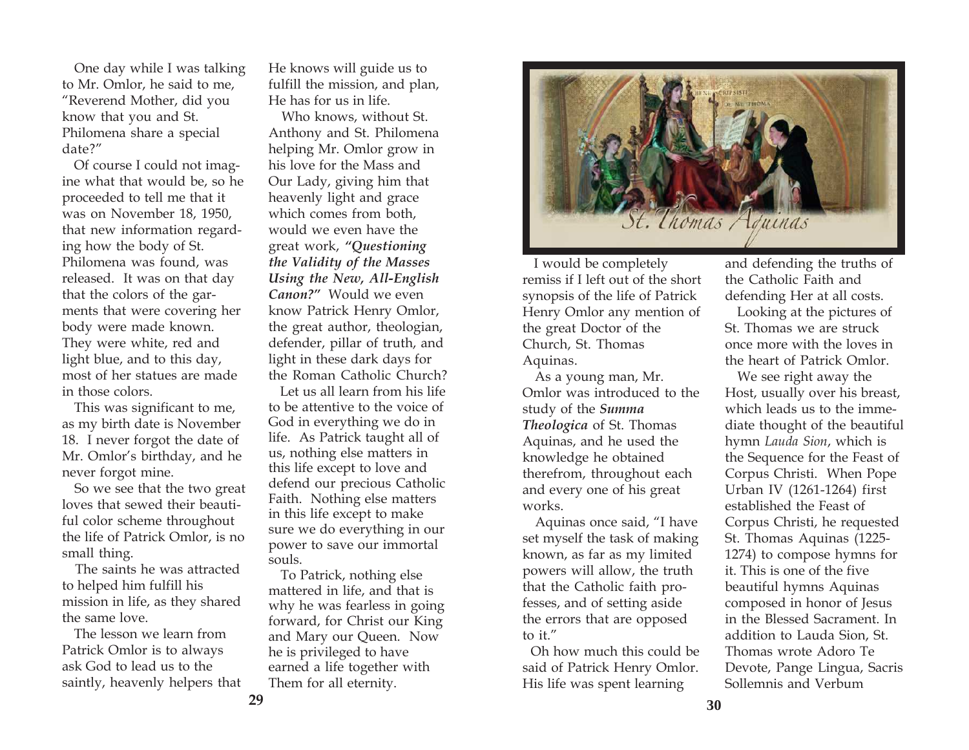One day while I was talking to Mr. Omlor, he said to me, "Reverend Mother, did you know that you and St. Philomena share a special date?"

 Of course I could not imagine what that would be, so he proceeded to tell me that it was on November 18, 1950, that new information regarding how the body of St. Philomena was found, was released. It was on that day that the colors of the garments that were covering her body were made known. They were white, red and light blue, and to this day, most of her statues are made in those colors.

 This was significant to me, as my birth date is November 18. I never forgot the date of Mr. Omlor's birthday, and he never forgot mine.

 So we see that the two great loves that sewed their beautiful color scheme throughout the life of Patrick Omlor, is no small thing.

 The saints he was attracted to helped him fulfill his mission in life, as they shared the same love.

 The lesson we learn from Patrick Omlor is to always ask God to lead us to the saintly, heavenly helpers that He knows will guide us to fulfill the mission, and plan, He has for us in life.

 Who knows, without St. Anthony and St. Philomena helping Mr. Omlor grow in his love for the Mass and Our Lady, giving him that heavenly light and grace which comes from both, would we even have the great work, *"Questioning the Validity of the Masses Using the New, All-English Canon?"* Would we even know Patrick Henry Omlor, the great author, theologian, defender, pillar of truth, and light in these dark days for the Roman Catholic Church?

Let us all learn from his life to be attentive to the voice of God in everything we do in life. As Patrick taught all of us, nothing else matters in this life except to love and defend our precious Catholic Faith. Nothing else matters in this life except to make sure we do everything in our power to save our immortal souls.

 To Patrick, nothing else mattered in life, and that is why he was fearless in going forward, for Christ our King and Mary our Queen. Now he is privileged to have earned a life together with Them for all eternity.



 I would be completely remiss if I left out of the short synopsis of the life of Patrick Henry Omlor any mention of the great Doctor of the Church, St. Thomas Aquinas.

 As a young man, Mr. Omlor was introduced to the study of the *Summa Theologica* of St. Thomas Aquinas, and he used the knowledge he obtained therefrom, throughout each and every one of his great works.

 Aquinas once said, "I have set myself the task of making known, as far as my limited powers will allow, the truth that the Catholic faith professes, and of setting aside the errors that are opposed to it."

 Oh how much this could be said of Patrick Henry Omlor. His life was spent learning

and defending the truths of the Catholic Faith and defending Her at all costs.

 Looking at the pictures of St. Thomas we are struck once more with the loves in the heart of Patrick Omlor.

 We see right away the Host, usually over his breast, which leads us to the immediate thought of the beautiful hymn *Lauda Sion*, which is the Sequence for the Feast of Corpus Christi. When Pope Urban IV (1261-1264) first established the Feast of Corpus Christi, he requested St. Thomas Aquinas (1225- 1274) to compose hymns for it. This is one of the five beautiful hymns Aquinas composed in honor of Jesus in the Blessed Sacrament. In addition to Lauda Sion, St. Thomas wrote Adoro Te Devote, Pange Lingua, Sacris Sollemnis and Verbum